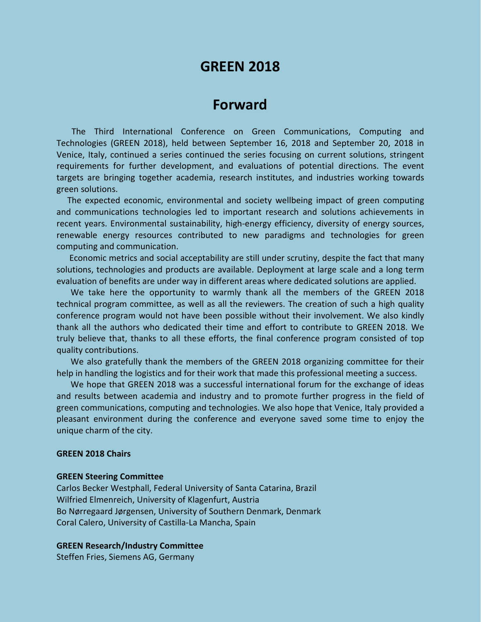# **GREEN 2018**

## **Forward**

The Third International Conference on Green Communications, Computing and Technologies (GREEN 2018), held between September 16, 2018 and September 20, 2018 in Venice, Italy, continued a series continued the series focusing on current solutions, stringent requirements for further development, and evaluations of potential directions. The event targets are bringing together academia, research institutes, and industries working towards green solutions.

The expected economic, environmental and society wellbeing impact of green computing and communications technologies led to important research and solutions achievements in recent years. Environmental sustainability, high-energy efficiency, diversity of energy sources, renewable energy resources contributed to new paradigms and technologies for green computing and communication.

Economic metrics and social acceptability are still under scrutiny, despite the fact that many solutions, technologies and products are available. Deployment at large scale and a long term evaluation of benefits are under way in different areas where dedicated solutions are applied.

We take here the opportunity to warmly thank all the members of the GREEN 2018 technical program committee, as well as all the reviewers. The creation of such a high quality conference program would not have been possible without their involvement. We also kindly thank all the authors who dedicated their time and effort to contribute to GREEN 2018. We truly believe that, thanks to all these efforts, the final conference program consisted of top quality contributions.

We also gratefully thank the members of the GREEN 2018 organizing committee for their help in handling the logistics and for their work that made this professional meeting a success.

We hope that GREEN 2018 was a successful international forum for the exchange of ideas and results between academia and industry and to promote further progress in the field of green communications, computing and technologies. We also hope that Venice, Italy provided a pleasant environment during the conference and everyone saved some time to enjoy the unique charm of the city.

### **GREEN 2018 Chairs**

#### **GREEN Steering Committee**

Carlos Becker Westphall, Federal University of Santa Catarina, Brazil Wilfried Elmenreich, University of Klagenfurt, Austria Bo Nørregaard Jørgensen, University of Southern Denmark, Denmark Coral Calero, University of Castilla-La Mancha, Spain

#### **GREEN Research/Industry Committee**

Steffen Fries, Siemens AG, Germany